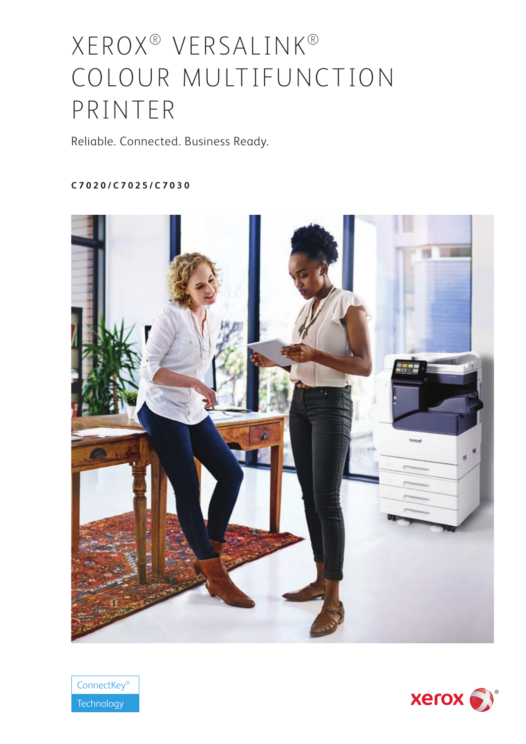# XEROX® VERSALINK® COLOUR MULTIFUNCTION PRINTER

Reliable. Connected. Business Ready.

# **C7020/C7025/C7030**





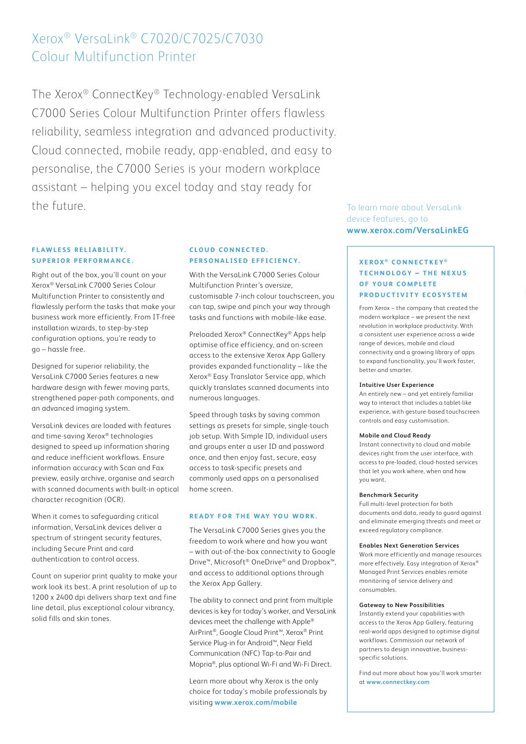# Xerox® VersaLink® C7020/C7025/C7030 Colour Multifunction Printer

The Xerox® ConnectKey® Technology-enabled VersaLink C7000 Series Colour Multifunction Printer offers flawless reliability, seamless integration and advanced productivity. Cloud connected, mobile ready, app-enabled, and easy to personalise, the C7000 Series is your modern workplace assistant – helping you excel today and stay ready for the future. The future of the state of the state of the state of the state of the state of the state of the state of the state of the state of the state of the state of the state of the state of the state of the state of t

# **FLAWLESS RELIABILITY SUPERIOR PERFORMANCE.**

Right out of the box, you'll count on your Xerox® VersaLink C7000 Series Colour Multifunction Printer to consistently and flawlessly perform the tasks that make your business work more efficiently. From IT-free installation wizards, to step-by-step configuration options, you're ready to go – hassle free.

Designed for superior reliability, the VersaLink C7000 Series features a new hardware design with fewer moving parts, strengthened paper-path components, and an advanced imaging system.

VersaLink devices are loaded with features and time-saving Xerox® technologies designed to speed up information sharing and reduce inefficient workflows. Ensure information accuracy with Scan and Fax preview, easily archive, organise and search with scanned documents with built-in optical character recognition (OCR).

When it comes to safeguarding critical information, VersaLink devices deliver a spectrum of stringent security features, including Secure Print and card authentication to control access.

Count on superior print quality to make your work look its best. A print resolution of up to 1200 x 2400 dpi delivers sharp text and fine line detail, plus exceptional colour vibrancy, solid fills and skin tones.

# **C L O U D C O N N E C T E D. PERSONALISED EFFICIENCY.**

With the VersaLink C7000 Series Colour Multifunction Printer's oversize, customisable 7-inch colour touchscreen, you can tap, swipe and pinch your way through tasks and functions with mobile-like ease.

Preloaded Xerox® ConnectKey® Apps help optimise office efficiency, and on-screen access to the extensive Xerox App Gallery provides expanded functionality – like the Xerox® Easy Translator Service app, which quickly translates scanned documents into numerous languages.

Speed through tasks by saving common settings as presets for simple, single-touch job setup. With Simple ID, individual users and groups enter a user ID and password once, and then enjoy fast, secure, easy access to task-specific presets and commonly used apps on a personalised home screen.

# **READY FOR THE WAY YOU WORK.**

The VersaLink C7000 Series gives you the freedom to work where and how you want – with out-of-the-box connectivity to Google Drive™, Microsoft® OneDrive® and Dropbox™, and access to additional options through the Xerox App Gallery.

The ability to connect and print from multiple devices is key for today's worker, and VersaLink devices meet the challenge with Apple® AirPrint®, Google Cloud Print™, Xerox® Print Service Plug-in for Android™, Near Field Communication (NFC) Tap-to-Pair and Mopria®, plus optional Wi-Fi and Wi-Fi Direct.

Learn more about why Xerox is the only choice for today's mobile professionals by visiting **www.xerox.com/mobile**

device features, go to **www.xerox.com/VersaLinkEG**

# **XEROX ® CONNECTKEY ® TECHNOLOGY - THE NEXUS OF YOUR COMPLETE PRODUCTIVITY ECOSYSTEM**

From Xerox – the company that created the modern workplace – we present the next revolution in workplace productivity. With a consistent user experience across a wide range of devices, mobile and cloud connectivity and a growing library of apps to expand functionality, you'll work faster, better and smarter.

#### **Intuitive User Experience**

An entirely new – and yet entirely familiar way to interact that includes a tablet-like experience, with gesture-based touchscreen controls and easy customisation.

#### **Mobile and Cloud Ready**

Instant connectivity to cloud and mobile devices right from the user interface, with access to pre-loaded, cloud-hosted services that let you work where, when and how you want.

#### **Benchmark Security**

Full multi-level protection for both documents and data, ready to guard against and eliminate emerging threats and meet or exceed regulatory compliance.

#### **Enables Next Generation Services**

Work more efficiently and manage resources more effectively. Easy integration of Xerox<sup>®</sup> Managed Print Services enables remote monitoring of service delivery and consumables.

#### **Gateway to New Possibilities**

Instantly extend your capabilities with access to the Xerox App Gallery, featuring real-world apps designed to optimise digital workflows. Commission our network of partners to design innovative, businessspecific solutions.

Find out more about how you'll work smarter at **www.connectkey.com**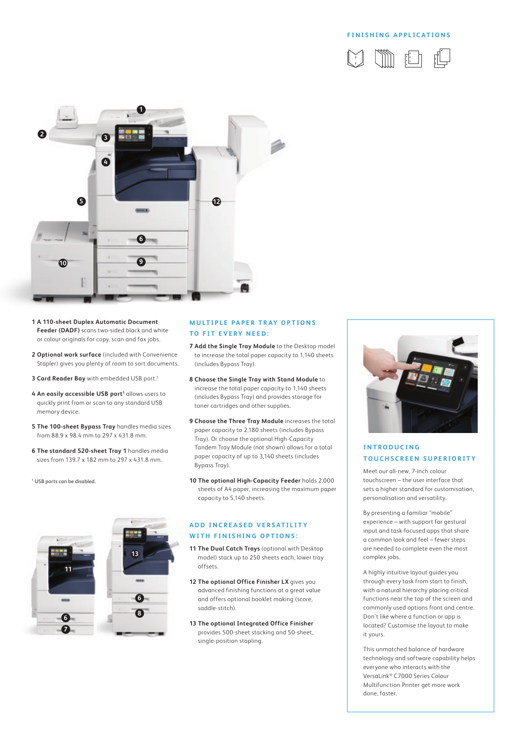### **FINISHING APPLICATIONS**





- **1 A 110-sheet Duplex Automatic Document Feeder (DADF)** scans two-sided black and white or colour originals for copy, scan and fax jobs.
- **2 Optional work surface** (included with Convenience Stapler) gives you plenty of room to sort documents.
- **3 Card Reader Bay** with embedded USB port.1
- 4 An easily accessible USB port<sup>1</sup> allows users to quickly print from or scan to any standard USB memory device.
- **5 The 100-sheet Bypass Tray** handles media sizes from 88.9 x 98.4 mm to 297 x 431.8 mm.
- **6 The standard 520-sheet Tray 1** handles media sizes from 139.7 x 182 mm to 297 x 431.8 mm.

1 USB ports can be disabled.



## **MULTIPLE PAPER TRAY OPTIONS TO FIT EVERY NEED:**

- **7 Add the Single Tray Module** to the Desktop model to increase the total paper capacity to 1,140 sheets (includes Bypass Tray).
- **8 Choose the Single Tray with Stand Module** to increase the total paper capacity to 1,140 sheets (includes Bypass Tray) and provides storage for toner cartridges and other supplies.
- **9 Choose the Three Tray Module** increases the total paper capacity to 2,180 sheets (includes Bypass Tray). Or choose the optional High-Capacity Tandem Tray Module (not shown) allows for a total paper capacity of up to 3,140 sheets (includes Bypass Tray).
- **10 The optional High-Capacity Feeder** holds 2,000 sheets of A4 paper, increasing the maximum paper capacity to 5,140 sheets.

## **ADD INCREASED VERSATILITY WITH FINISHING OPTIONS:**

- **11 The Dual Catch Trays** (optional with Desktop model) stack up to 250 sheets each, lower tray offsets.
- **12 The optional Office Finisher LX** gives you advanced finishing functions at a great value and offers optional booklet making (score, saddle-stitch).
- **13 The optional Integrated Office Finisher** provides 500-sheet stacking and 50-sheet, single-position stapling.



# **I N T R O D U C I N G TOUCHSCREEN SUPERIORITY**

Meet our all-new, 7-inch colour touchscreen – the user interface that sets a higher standard for customisation, personalisation and versatility.

By presenting a familiar "mobile" experience – with support for gestural input and task-focused apps that share a common look and feel – fewer steps are needed to complete even the most complex jobs.

A highly intuitive layout guides you through every task from start to finish, with a natural hierarchy placing critical functions near the top of the screen and commonly used options front and centre. Don't like where a function or app is located? Customise the layout to make it yours.

This unmatched balance of hardware technology and software capability helps everyone who interacts with the VersaLink® C7000 Series Colour Multifunction Printer get more work done, faster.